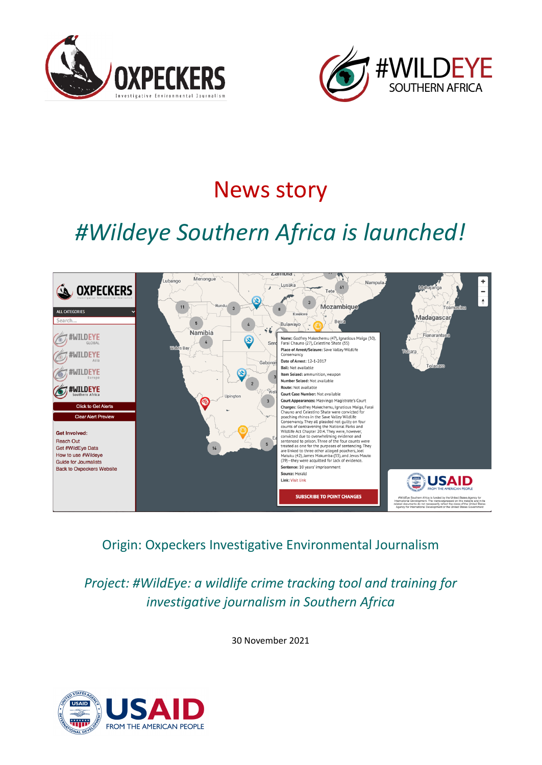



## News story

# *#Wildeye Southern Africa is launched!*



Origin: Oxpeckers Investigative Environmental Journalism

*Project: #WildEye: a wildlife crime tracking tool and training for investigative journalism in Southern Africa*

30 November 2021

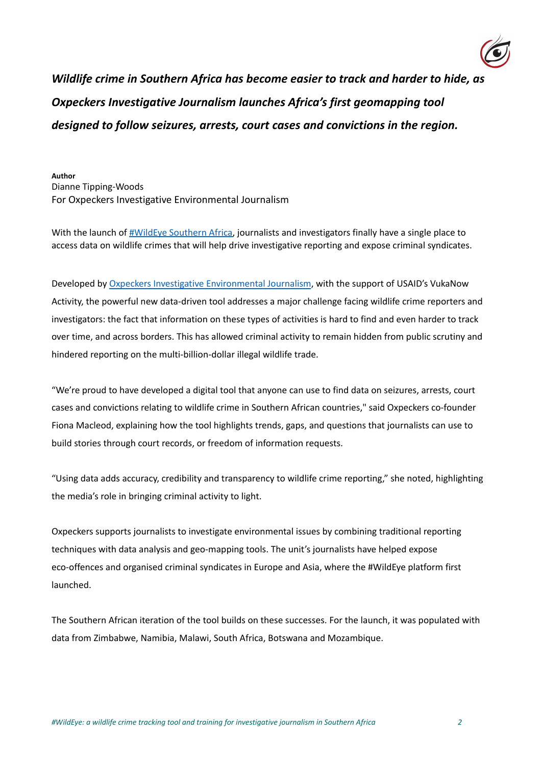

*Wildlife crime in Southern Africa has become easier to track and harder to hide, as Oxpeckers Investigative Journalism launches Africa's first geomapping tool designed to follow seizures, arrests, court cases and convictions in the region.*

**Author** Dianne Tipping-Woods For Oxpeckers Investigative Environmental Journalism

With the launch of  $\frac{H}{W}$ ildEye Southern Africa, journalists and investigators finally have a single place to access data on wildlife crimes that will help drive investigative reporting and expose criminal syndicates.

Developed by Oxpeckers Investigative [Environmental](https://oxpeckers.org/) Journalism, with the support of USAID's VukaNow Activity, the powerful new data-driven tool addresses a major challenge facing wildlife crime reporters and investigators: the fact that information on these types of activities is hard to find and even harder to track over time, and across borders. This has allowed criminal activity to remain hidden from public scrutiny and hindered reporting on the multi-billion-dollar illegal wildlife trade.

"We're proud to have developed a digital tool that anyone can use to find data on seizures, arrests, court cases and convictions relating to wildlife crime in Southern African countries," said Oxpeckers co-founder Fiona Macleod, explaining how the tool highlights trends, gaps, and questions that journalists can use to build stories through court records, or freedom of information requests.

"Using data adds accuracy, credibility and transparency to wildlife crime reporting," she noted, highlighting the media's role in bringing criminal activity to light.

Oxpeckers supports journalists to investigate environmental issues by combining traditional reporting techniques with data analysis and geo-mapping tools. The unit's journalists have helped expose eco-offences and organised criminal syndicates in Europe and Asia, where the #WildEye platform first launched.

The Southern African iteration of the tool builds on these successes. For the launch, it was populated with data from Zimbabwe, Namibia, Malawi, South Africa, Botswana and Mozambique.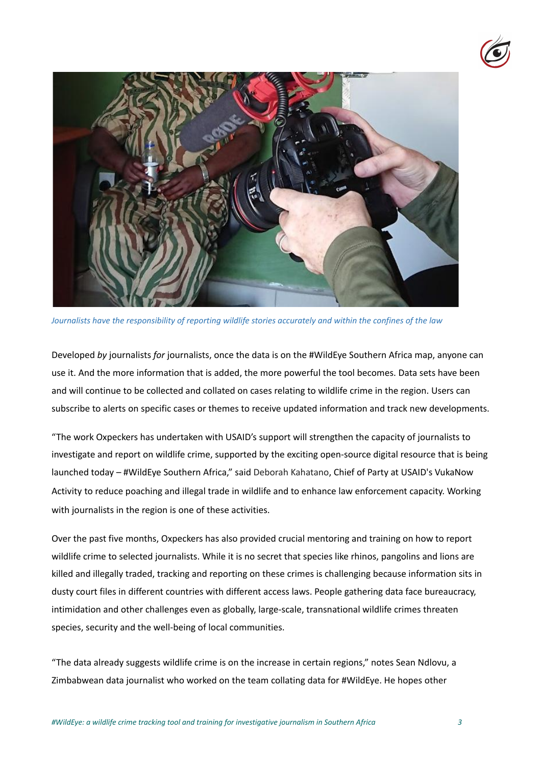



*Journalists have the responsibility of reporting wildlife stories accurately and within the confines of the law*

Developed *by* journalists *for* journalists, once the data is on the #WildEye Southern Africa map, anyone can use it. And the more information that is added, the more powerful the tool becomes. Data sets have been and will continue to be collected and collated on cases relating to wildlife crime in the region. Users can subscribe to alerts on specific cases or themes to receive updated information and track new developments.

"The work Oxpeckers has undertaken with USAID's support will strengthen the capacity of journalists to investigate and report on wildlife crime, supported by the exciting open-source digital resource that is being launched today – #WildEye Southern Africa," said Deborah Kahatano, Chief of Party at USAID's VukaNow Activity to reduce poaching and illegal trade in wildlife and to enhance law enforcement capacity. Working with journalists in the region is one of these activities.

Over the past five months, Oxpeckers has also provided crucial mentoring and training on how to report wildlife crime to selected journalists. While it is no secret that species like rhinos, pangolins and lions are killed and illegally traded, tracking and reporting on these crimes is challenging because information sits in dusty court files in different countries with different access laws. People gathering data face bureaucracy, intimidation and other challenges even as globally, large-scale, transnational wildlife crimes threaten species, security and the well-being of local communities.

"The data already suggests wildlife crime is on the increase in certain regions," notes Sean Ndlovu, a Zimbabwean data journalist who worked on the team collating data for #WildEye. He hopes other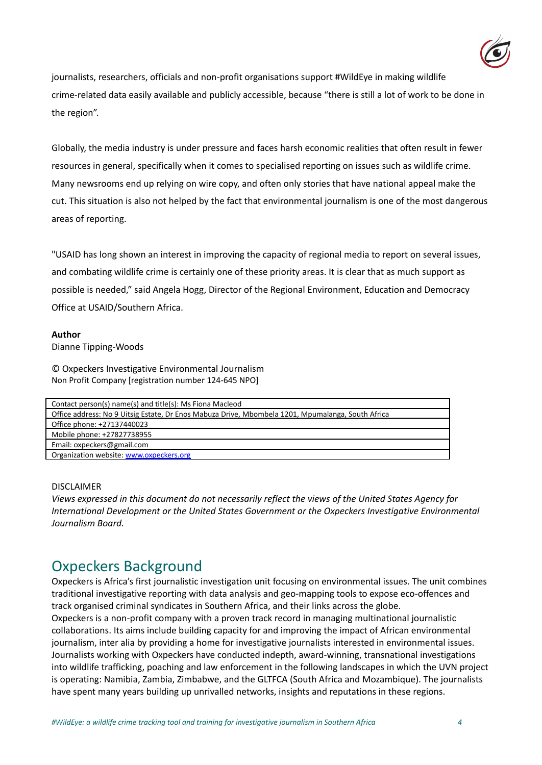

journalists, researchers, officials and non-profit organisations support #WildEye in making wildlife crime-related data easily available and publicly accessible, because "there is still a lot of work to be done in the region".

Globally, the media industry is under pressure and faces harsh economic realities that often result in fewer resources in general, specifically when it comes to specialised reporting on issues such as wildlife crime. Many newsrooms end up relying on wire copy, and often only stories that have national appeal make the cut. This situation is also not helped by the fact that environmental journalism is one of the most dangerous areas of reporting.

"USAID has long shown an interest in improving the capacity of regional media to report on several issues, and combating wildlife crime is certainly one of these priority areas. It is clear that as much support as possible is needed," said Angela Hogg, Director of the Regional Environment, Education and Democracy Office at USAID/Southern Africa.

#### **Author**

Dianne Tipping-Woods

© Oxpeckers Investigative Environmental Journalism Non Profit Company [registration number 124-645 NPO]

| Contact person(s) name(s) and title(s): Ms Fiona Macleod                                          |
|---------------------------------------------------------------------------------------------------|
| Office address: No 9 Uitsig Estate, Dr Enos Mabuza Drive, Mbombela 1201, Mpumalanga, South Africa |
| Office phone: +27137440023                                                                        |
| Mobile phone: +27827738955                                                                        |
| Email: oxpeckers@gmail.com                                                                        |
| Organization website: www.oxpeckers.org                                                           |
|                                                                                                   |

#### DISCLAIMER

*Views expressed in this document do not necessarily reflect the views of the United States Agency for International Development or the United States Government or the Oxpeckers Investigative Environmental Journalism Board.*

### Oxpeckers Background

Oxpeckers is Africa's first journalistic investigation unit focusing on environmental issues. The unit combines traditional investigative reporting with data analysis and geo-mapping tools to expose eco-offences and track organised criminal syndicates in Southern Africa, and their links across the globe.

Oxpeckers is a non-profit company with a proven track record in managing multinational journalistic collaborations. Its aims include building capacity for and improving the impact of African environmental journalism, inter alia by providing a home for investigative journalists interested in environmental issues. Journalists working with Oxpeckers have conducted indepth, award-winning, transnational investigations into wildlife trafficking, poaching and law enforcement in the following landscapes in which the UVN project is operating: Namibia, Zambia, Zimbabwe, and the GLTFCA (South Africa and Mozambique). The journalists have spent many years building up unrivalled networks, insights and reputations in these regions.